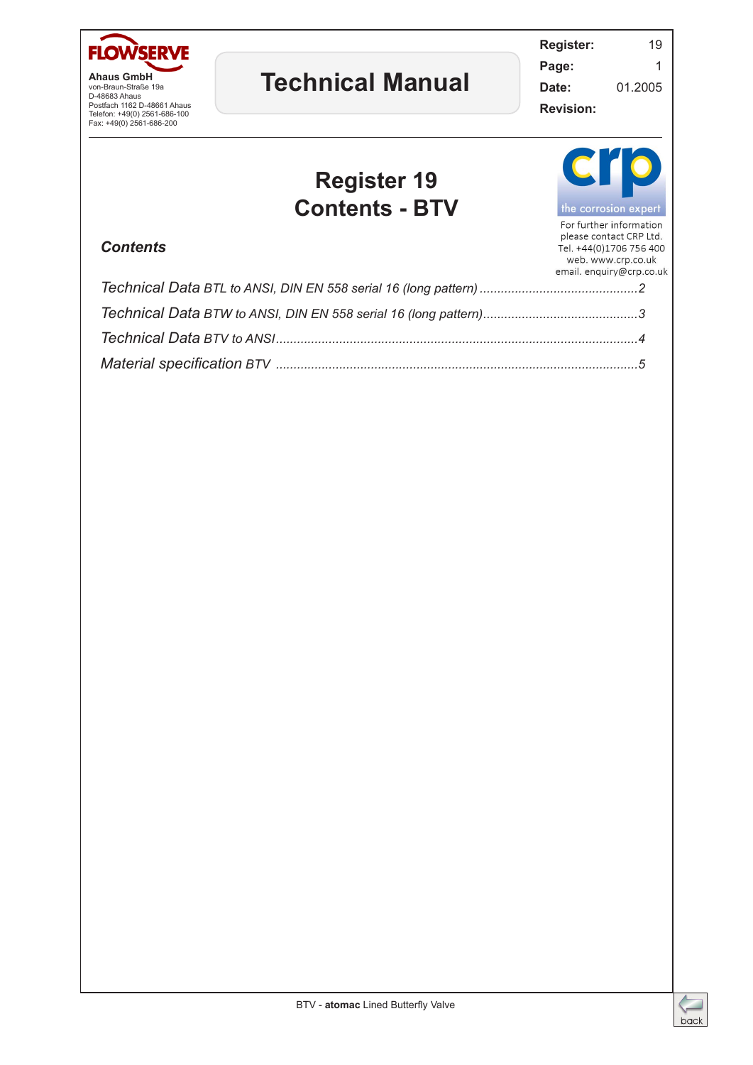

**Ahaus GmbH** von-Braun-Straße 19a D-48683 Ahaus Postfach 1162 D-48661 Ahaus Telefon: +49(0) 2561-686-100 Fax: +49(0) 2561-686-200

## **Technical Manual**

**Register:** 19 **Page:** 1 **Date:** 01.2005

**Revision:**

## **Register 19 Contents - BTV**



For further information

## *Contents*<br>Contents *Contents*<br>Web. www.crp.co.uk

| email. enquiry@crp.co.uk |
|--------------------------|
|                          |
|                          |
|                          |
|                          |

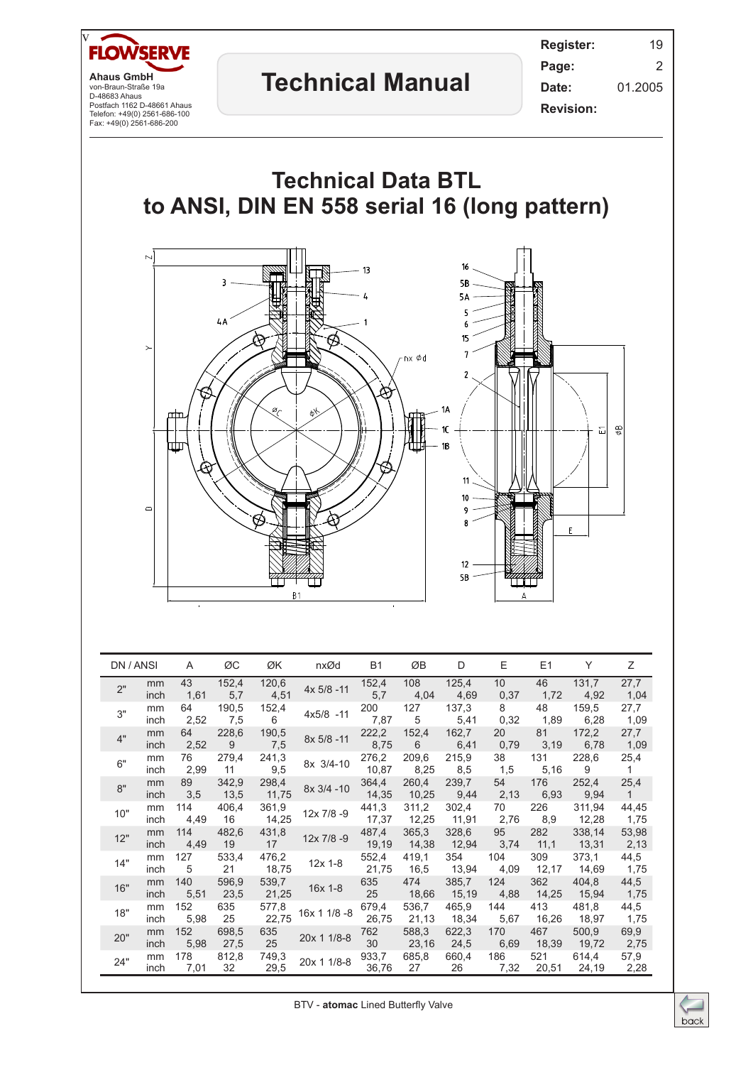

|  |     |            |             |               |                |              |                | $\cdot$ , $\cdot$ |                |             |              |                 |                      |
|--|-----|------------|-------------|---------------|----------------|--------------|----------------|-------------------|----------------|-------------|--------------|-----------------|----------------------|
|  | 3"  | mm<br>inch | 64<br>2,52  | 190,5<br>7,5  | 152,4<br>6     | $4x5/8 - 11$ | 200<br>7,87    | 127<br>5          | 137,3<br>5,41  | 8<br>0,32   | 48<br>1,89   | 159,5<br>6,28   | 27,7<br>1,09         |
|  | 4"  | mm<br>inch | 64<br>2,52  | 228,6<br>9    | 190,5<br>7,5   | 8x 5/8 -11   | 222,2<br>8,75  | 152,4<br>6        | 162,7<br>6,41  | 20<br>0,79  | 81<br>3,19   | 172,2<br>6,78   | 27,7<br>1,09         |
|  | 6"  | mm<br>inch | 76<br>2,99  | 279,4<br>11   | 241,3<br>9,5   | 8x 3/4-10    | 276,2<br>10,87 | 209,6<br>8,25     | 215,9<br>8,5   | 38<br>1,5   | 131<br>5,16  | 228,6<br>9      | 25,4<br>$\mathbf{1}$ |
|  | 8"  | mm<br>inch | 89<br>3,5   | 342,9<br>13,5 | 298,4<br>11,75 | 8x 3/4 -10   | 364,4<br>14,35 | 260,4<br>10,25    | 239,7<br>9,44  | 54<br>2,13  | 176<br>6,93  | 252,4<br>9,94   | 25,4<br>1            |
|  | 10" | mm<br>inch | 114<br>4,49 | 406,4<br>16   | 361,9<br>14,25 | 12x 7/8 -9   | 441,3<br>17,37 | 311,2<br>12,25    | 302,4<br>11,91 | 70<br>2,76  | 226<br>8,9   | 311,94<br>12,28 | 44,45<br>1,75        |
|  | 12" | mm<br>inch | 114<br>4,49 | 482,6<br>19   | 431,8<br>17    | 12x 7/8 -9   | 487,4<br>19,19 | 365,3<br>14,38    | 328,6<br>12,94 | 95<br>3,74  | 282<br>11,1  | 338,14<br>13,31 | 53,98<br>2,13        |
|  | 14" | mm<br>inch | 127<br>5    | 533,4<br>21   | 476,2<br>18,75 | $12x$ 1-8    | 552,4<br>21,75 | 419,1<br>16,5     | 354<br>13,94   | 104<br>4,09 | 309<br>12,17 | 373,1<br>14,69  | 44,5<br>1,75         |
|  | 16" | mm<br>inch | 140<br>5,51 | 596,9<br>23,5 | 539,7<br>21,25 | 16x 1-8      | 635<br>25      | 474<br>18,66      | 385,7<br>15,19 | 124<br>4,88 | 362<br>14,25 | 404,8<br>15,94  | 44,5<br>1,75         |
|  | 18" | mm<br>inch | 152<br>5,98 | 635<br>25     | 577,8<br>22,75 | 16x 1 1/8 -8 | 679,4<br>26,75 | 536,7<br>21,13    | 465,9<br>18,34 | 144<br>5,67 | 413<br>16,26 | 481,8<br>18,97  | 44,5<br>1,75         |
|  | 20" | mm<br>inch | 152<br>5,98 | 698,5<br>27,5 | 635<br>25      | 20x 1 1/8-8  | 762<br>30      | 588,3<br>23,16    | 622,3<br>24,5  | 170<br>6,69 | 467<br>18,39 | 500,9<br>19,72  | 69,9<br>2,75         |
|  | 24" | mm<br>inch | 178<br>7,01 | 812,8<br>32   | 749,3<br>29,5  | 20x 1 1/8-8  | 933,7<br>36,76 | 685,8<br>27       | 660,4<br>26    | 186<br>7,32 | 521<br>20,51 | 614,4<br>24,19  | 57,9<br>2,28         |

BTV - **atomac** Lined Butterfly Valve

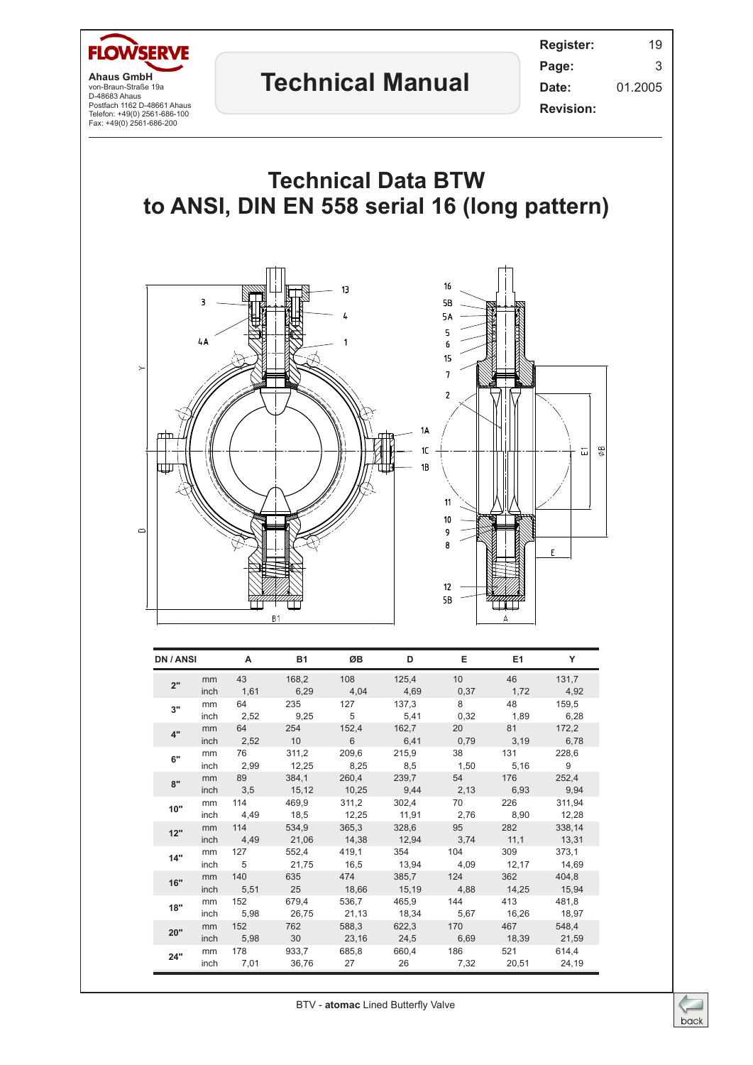



| DN / ANSI |                   | A                        | <b>B1</b>      | <b>OB</b> | D                          | Е.                                                        | E1                | Y             |
|-----------|-------------------|--------------------------|----------------|-----------|----------------------------|-----------------------------------------------------------|-------------------|---------------|
| 2"        | mm<br>inch        | 43<br>1,61               | 168,2<br>6,29  |           | 108 125,4<br>$4,04$ $4,69$ | 10                                                        | 46<br>$0,37$ 1,72 | 131,7<br>4,92 |
| 3"        | mm<br>inch        | 64 64<br>2,52            | 235            | 127       | 137,3                      | 8<br>9,25 5 5,41 0,32 1,89                                | 48                | 159,5<br>6,28 |
| 4"        | mm<br><i>inch</i> | 64 7                     | 254            |           | 152,4 162,7                | 20<br>2,52 10 6 6,41 0,79 3,19 6,78                       | 81                | 172,2         |
| 6"        | mm<br>inch        | 76 — 17<br>2,99          | 311,2          | 209,6     | 215,9                      | 38<br>12,25 8,25 8,5 1,50 5,16 9                          | 131               | 228.6         |
| 8"        | mm<br>inch        | 89                       | 384,1          |           | 260,4 239,7                | 54<br>3,5 15,12 10,25 9,44 2,13 6,93 9,94                 | 176 — 176         | 252,4         |
| 10"       | mm<br>inch        |                          | 114 469,9      |           | 311,2 302,4                | 70 — 10<br>4,49 18,5 12,25 11,91 2,76 8,90 12,28          | 226               | 311.94        |
| 12"       | mm<br>inch        | 114                      | 534,9          |           |                            | 365,3 328,6 95<br>4,49 21,06 14,38 12,94 3,74 11,1 13,31  | 282               | 338,14        |
| 14"       | mm<br>inch        | 127 — 127<br>$5^{\circ}$ | 552,4          |           | 419.1 354                  | 104<br>21,75 16,5 13,94 4,09 12,17 14,69                  | 309               | 373,1         |
| 16"       | mm<br>inch        | 140                      | 635<br>5,51 25 |           |                            | 474 385,7 124<br>18,66 15,19 4,88 14,25 15,94             | 362               | 404,8         |
| 18"       | mm<br>inch        | 152<br>5,98              | 679,4          | 536,7     | 465,9                      | 144<br>26,75 21,13 18,34 5,67 16,26 18,97                 | 413               | 481,8         |
| 20"       | mm<br>inch        | 152 —                    | 762 — 1        | 588,3     | 622,3                      | 170<br>5,98 30 23,16 24,5 6,69 18,39 21,59                |                   | 548,4         |
| 24"       | mm                | 178 — 178                | 933,7          |           |                            | 685,8 660,4 186<br>inch 7,01 36,76 27 26 7,32 20,51 24,19 | 521 — 1           | 614,4         |

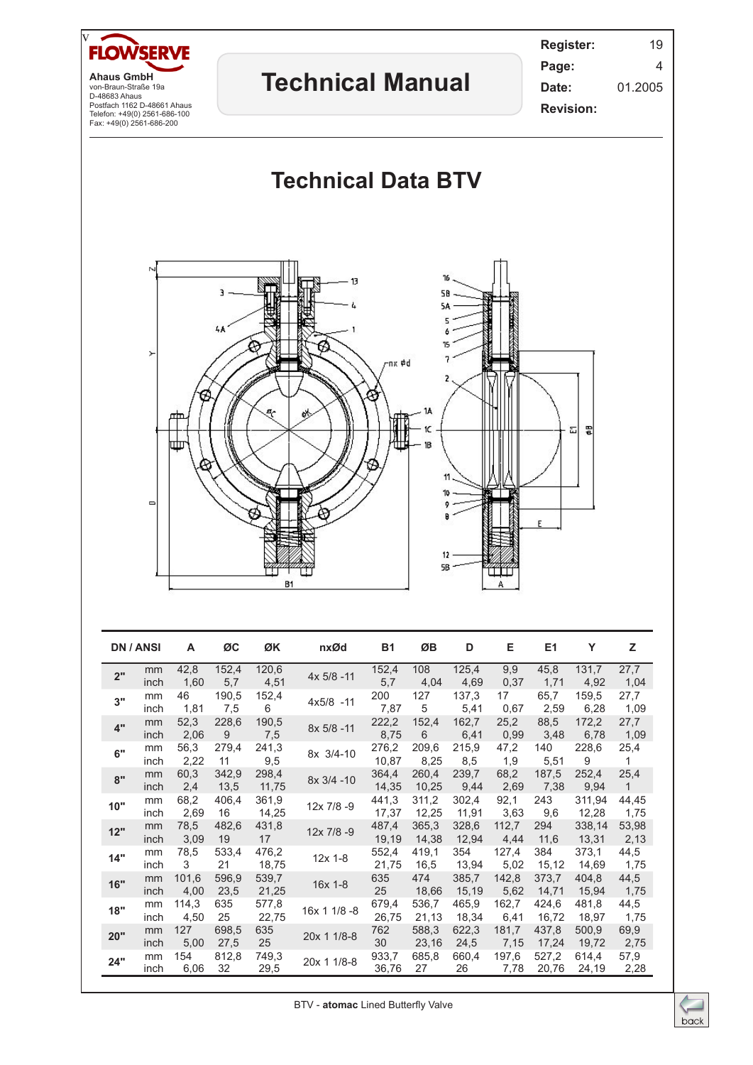

BTV - **atomac** Lined Butterfly Valve